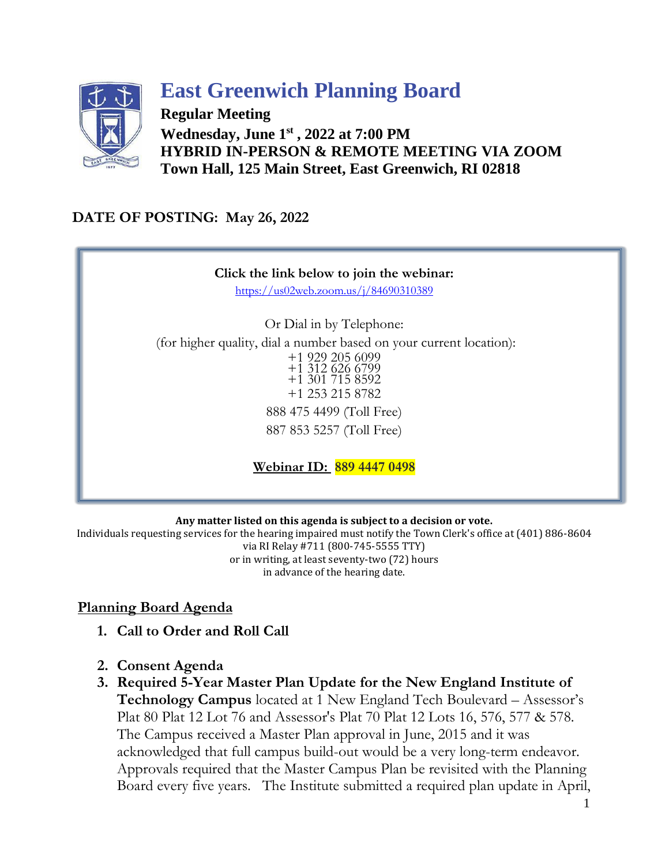

## **East Greenwich Planning Board**

**Regular Meeting Wednesday, June 1st , 2022 at 7:00 PM HYBRID IN-PERSON & REMOTE MEETING VIA ZOOM Town Hall, 125 Main Street, East Greenwich, RI 02818**

## **DATE OF POSTING: May 26, 2022**



**Any matter listed on this agenda is subject to a decision or vote.** 

Individuals requesting services for the hearing impaired must notify the Town Clerk's office at (401) 886-8604 via RI Relay #711 (800-745-5555 TTY) or in writing, at least seventy-two (72) hours in advance of the hearing date.

## **Planning Board Agenda**

- **1. Call to Order and Roll Call**
- **2. Consent Agenda**
- **3. Required 5-Year Master Plan Update for the New England Institute of Technology Campus** located at 1 New England Tech Boulevard – Assessor's Plat 80 Plat 12 Lot 76 [and Assessor's Plat 70 Plat 12 Lots 16, 576, 577 & 578.](https://www.ecode360.com/9714902#9714902)  [The Campus received a Master Plan approval in June, 2015 and it was](https://www.ecode360.com/9714902#9714902)  [acknowledged that full campus build-out would be a very long-term endeavor.](https://www.ecode360.com/9714902#9714902)  [Approvals required that the Master Campus Plan be revisited with the Planning](https://www.ecode360.com/9714902#9714902)  [Board every five years. T](https://www.ecode360.com/9714902#9714902)he Institute submitted a required plan update in April,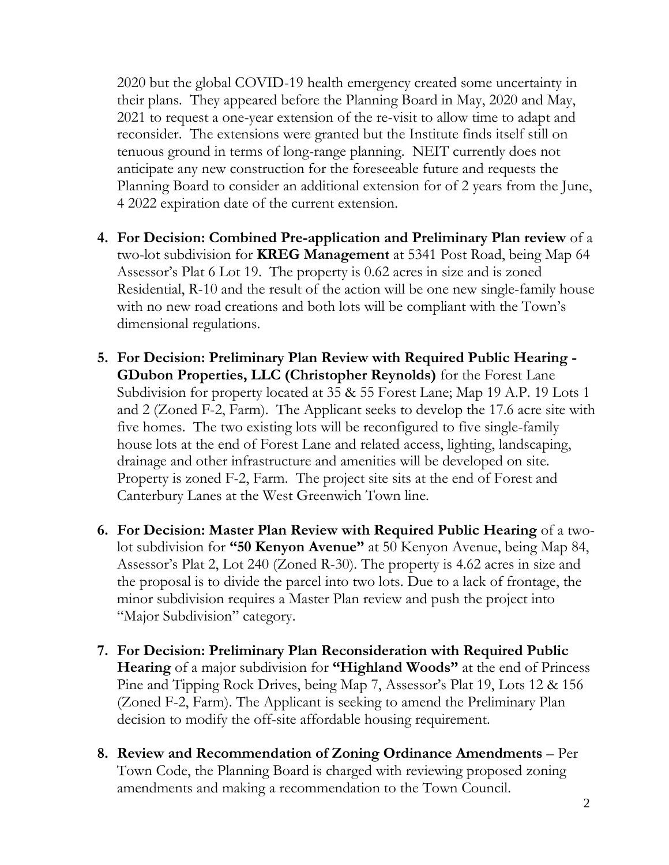2020 but the global COVID-19 health emergency created some uncertainty in their plans. They appeared before the Planning Board in May, 2020 and May, 2021 to request a one-year extension of the re-visit to allow time to adapt and reconsider. The extensions were granted but the Institute finds itself still on tenuous ground in terms of long-range planning. NEIT currently does not anticipate any new construction for the foreseeable future and requests the Planning Board to consider an additional extension for of 2 years from the June, 4 2022 expiration date of the current extension.

- **4. For Decision: Combined Pre-application and Preliminary Plan review** of a two-lot subdivision for **KREG Management** at 5341 Post Road, being Map 64 Assessor's Plat 6 Lot 19. The property is 0.62 acres in size and is zoned Residential, R-10 and the result of the action will be one new single-family house with no new road creations and both lots will be compliant with the Town's dimensional regulations.
- **5. For Decision: Preliminary Plan Review with Required Public Hearing - GDubon Properties, LLC (Christopher Reynolds)** for the Forest Lane Subdivision for property located at 35 & 55 Forest Lane; Map 19 A.P. 19 Lots 1 and 2 (Zoned F-2, Farm). The Applicant seeks to develop the 17.6 acre site with five homes. The two existing lots will be reconfigured to five single-family house lots at the end of Forest Lane and related access, lighting, landscaping, drainage and other infrastructure and amenities will be developed on site. Property is zoned F-2, Farm. The project site sits at the end of Forest and Canterbury Lanes at the West Greenwich Town line.
- **6. For Decision: Master Plan Review with Required Public Hearing** of a twolot subdivision for **"50 Kenyon Avenue"** at 50 Kenyon Avenue, being Map 84, Assessor's Plat 2, Lot 240 (Zoned R-30). The property is 4.62 acres in size and the proposal is to divide the parcel into two lots. Due to a lack of frontage, the minor subdivision requires a Master Plan review and push the project into "Major Subdivision" category.
- **7. For Decision: Preliminary Plan Reconsideration with Required Public Hearing** of a major subdivision for **"Highland Woods"** at the end of Princess Pine and Tipping Rock Drives, being Map 7, Assessor's Plat 19, Lots 12 & 156 (Zoned F-2, Farm). The Applicant is seeking to amend the Preliminary Plan decision to modify the off-site affordable housing requirement.
- **8. Review and Recommendation of Zoning Ordinance Amendments** Per Town Code, the Planning Board is charged with reviewing proposed zoning amendments and making a recommendation to the Town Council.